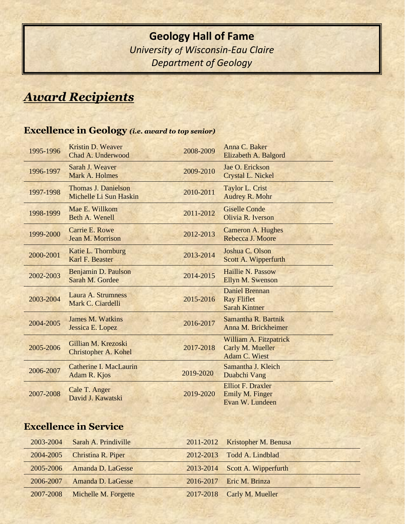# **Geology Hall of Fame** *University of Wisconsin-Eau Claire Department of Geology*

# *Award Recipients*

## **Excellence in Geology** *(i.e. award to top senior)*

| 1995-1996 | Kristin D. Weaver<br>Chad A. Underwood               | 2008-2009 | Anna C. Baker<br>Elizabeth A. Balgord                               |
|-----------|------------------------------------------------------|-----------|---------------------------------------------------------------------|
| 1996-1997 | Sarah J. Weaver<br>Mark A. Holmes                    | 2009-2010 | Jae O. Erickson<br>Crystal L. Nickel                                |
| 1997-1998 | <b>Thomas J. Danielson</b><br>Michelle Li Sun Haskin | 2010-2011 | Taylor L. Crist<br>Audrey R. Mohr                                   |
| 1998-1999 | Mae E. Willkom<br>Beth A. Wenell                     | 2011-2012 | <b>Giselle Conde</b><br>Olivia R. Iverson                           |
| 1999-2000 | Carrie E. Rowe<br>Jean M. Morrison                   | 2012-2013 | Cameron A. Hughes<br>Rebecca J. Moore                               |
| 2000-2001 | Katie L. Thornburg<br>Karl F. Beaster                | 2013-2014 | Joshua C. Olson<br>Scott A. Wipperfurth                             |
| 2002-2003 | Benjamin D. Paulson<br>Sarah M. Gordee               | 2014-2015 | Haillie N. Passow<br>Ellyn M. Swenson                               |
| 2003-2004 | Laura A. Strumness<br>Mark C. Ciardelli              | 2015-2016 | <b>Daniel Brennan</b><br><b>Ray Fliflet</b><br><b>Sarah Kintner</b> |
| 2004-2005 | <b>James M. Watkins</b><br>Jessica E. Lopez          | 2016-2017 | Samantha R. Bartnik<br>Anna M. Brickheimer                          |
| 2005-2006 | Gillian M. Krezoski<br><b>Christopher A. Kohel</b>   | 2017-2018 | William A. Fitzpatrick<br>Carly M. Mueller<br>Adam C. Wiest         |
| 2006-2007 | <b>Catherine I. MacLaurin</b><br>Adam R. Kjos        | 2019-2020 | Samantha J. Kleich<br>Duabchi Vang                                  |
| 2007-2008 | Cale T. Anger<br>David J. Kawatski                   | 2019-2020 | <b>Elliot F. Draxler</b><br>Emily M. Finger<br>Evan W. Lundeen      |

## **Excellence in Service**

| 2003-2004 | Sarah A. Prindiville         | 2011-2012 Kristopher M. Benusa |
|-----------|------------------------------|--------------------------------|
|           | 2004-2005 Christina R. Piper | 2012-2013 Todd A. Lindblad     |
| 2005-2006 | Amanda D. LaGesse            | 2013-2014 Scott A. Wipperfurth |
| 2006-2007 | Amanda D. LaGesse            | 2016-2017 Eric M. Brinza       |
| 2007-2008 | Michelle M. Forgette         | 2017-2018 Carly M. Mueller     |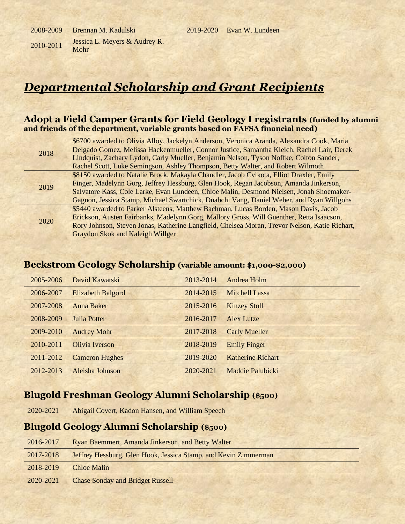2010-2011 Jessica L. Meyers & Audrey R. Mohr

*Departmental Scholarship and Grant Recipients*

#### **Adopt a Field Camper Grants for Field Geology I registrants (funded by alumni and friends of the department, variable grants based on FAFSA financial need)**

| 2018 | \$6700 awarded to Olivia Alloy, Jackelyn Anderson, Veronica Aranda, Alexandra Cook, Maria<br>Delgado Gomez, Melissa Hackenmueller, Connor Justice, Samantha Kleich, Rachel Lair, Derek |
|------|----------------------------------------------------------------------------------------------------------------------------------------------------------------------------------------|
|      | Lindquist, Zachary Lydon, Carly Mueller, Benjamin Nelson, Tyson Noffke, Colton Sander,                                                                                                 |
|      | Rachel Scott, Luke Semingson, Ashley Thompson, Betty Walter, and Robert Wilmoth                                                                                                        |
|      | \$8150 awarded to Natalie Brock, Makayla Chandler, Jacob Cvikota, Elliot Draxler, Emily                                                                                                |
| 2019 | Finger, Madelynn Gorg, Jeffrey Hessburg, Glen Hook, Regan Jacobson, Amanda Jinkerson,                                                                                                  |
|      | Salvatore Kass, Cole Larke, Evan Lundeen, Chloe Malin, Desmond Nielsen, Jonah Shoemaker-                                                                                               |
|      | Gagnon, Jessica Stamp, Michael Swartchick, Duabchi Vang, Daniel Weber, and Ryan Willgohs                                                                                               |
| 2020 | \$5440 awarded to Parker Alsteens, Matthew Bachman, Lucas Borden, Mason Davis, Jacob                                                                                                   |
|      | Erickson, Austen Fairbanks, Madelynn Gorg, Mallory Gross, Will Guenther, Retta Isaacson,                                                                                               |
|      | Rory Johnson, Steven Jonas, Katherine Langfield, Chelsea Moran, Trevor Nelson, Katie Richart,                                                                                          |
|      | Graydon Skok and Kaleigh Willger                                                                                                                                                       |

#### **Beckstrom Geology Scholarship (variable amount: \$1,000-\$2,000)**

| 2005-2006 | David Kawatski           | 2013-2014 | Andrea Holm              |
|-----------|--------------------------|-----------|--------------------------|
| 2006-2007 | <b>Elizabeth Balgord</b> | 2014-2015 | <b>Mitchell Lassa</b>    |
| 2007-2008 | <b>Anna Baker</b>        | 2015-2016 | <b>Kinzey Stoll</b>      |
| 2008-2009 | Julia Potter             | 2016-2017 | Alex Lutze               |
| 2009-2010 | <b>Audrey Mohr</b>       | 2017-2018 | <b>Carly Mueller</b>     |
| 2010-2011 | <b>Olivia Iverson</b>    | 2018-2019 | <b>Emily Finger</b>      |
| 2011-2012 | <b>Cameron Hughes</b>    | 2019-2020 | <b>Katherine Richart</b> |
| 2012-2013 | Aleisha Johnson          | 2020-2021 | Maddie Palubicki         |

#### **Blugold Freshman Geology Alumni Scholarship (\$500)**

2020-2021 Abigail Covert, Kadon Hansen, and William Speech

#### **Blugold Geology Alumni Scholarship (\$500)**

| 2016-2017 | Ryan Baemmert, Amanda Jinkerson, and Betty Walter               |
|-----------|-----------------------------------------------------------------|
| 2017-2018 | Jeffrey Hessburg, Glen Hook, Jessica Stamp, and Kevin Zimmerman |
| 2018-2019 | Chloe Malin                                                     |
| 2020-2021 | <b>Chase Sonday and Bridget Russell</b>                         |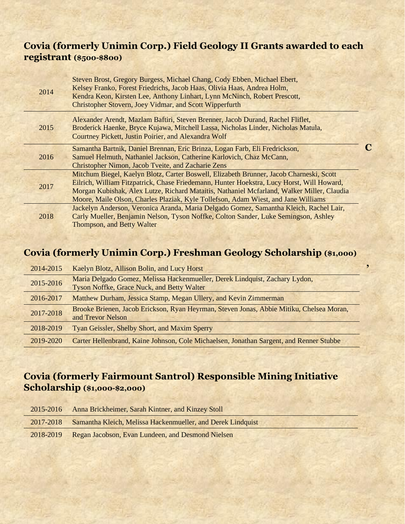## **Covia (formerly Unimin Corp.) Field Geology II Grants awarded to each registrant (\$500-\$800)**

| 2014 | Steven Brost, Gregory Burgess, Michael Chang, Cody Ebben, Michael Ebert,<br>Kelsey Franko, Forest Friedrichs, Jacob Haas, Olivia Haas, Andrea Holm,<br>Kendra Keon, Kirsten Lee, Anthony Linhart, Lynn McNinch, Robert Prescott,<br>Christopher Stovern, Joey Vidmar, and Scott Wipperfurth                                                                              |  |
|------|--------------------------------------------------------------------------------------------------------------------------------------------------------------------------------------------------------------------------------------------------------------------------------------------------------------------------------------------------------------------------|--|
| 2015 | Alexander Arendt, Mazlam Baftiri, Steven Brenner, Jacob Durand, Rachel Fliflet,<br>Broderick Haenke, Bryce Kujawa, Mitchell Lassa, Nicholas Linder, Nicholas Matula,<br>Courtney Pickett, Justin Poirier, and Alexandra Wolf                                                                                                                                             |  |
| 2016 | Samantha Bartnik, Daniel Brennan, Eric Brinza, Logan Farb, Eli Fredrickson,<br>Samuel Helmuth, Nathaniel Jackson, Catherine Karlovich, Chaz McCann,<br><b>Christopher Nimon, Jacob Tveite, and Zacharie Zens</b>                                                                                                                                                         |  |
| 2017 | Mitchum Biegel, Kaelyn Blotz, Carter Boswell, Elizabeth Brunner, Jacob Charneski, Scott<br>Eilrich, William Fitzpatrick, Chase Friedemann, Hunter Hoekstra, Lucy Horst, Will Howard,<br>Morgan Kubishak, Alex Lutze, Richard Mataitis, Nathaniel Mcfarland, Walker Miller, Claudia<br>Moore, Maile Olson, Charles Plaziak, Kyle Tollefson, Adam Wiest, and Jane Williams |  |
| 2018 | Jackelyn Anderson, Veronica Aranda, Maria Delgado Gomez, Samantha Kleich, Rachel Lair,<br>Carly Mueller, Benjamin Nelson, Tyson Noffke, Colton Sander, Luke Semingson, Ashley<br>Thompson, and Betty Walter                                                                                                                                                              |  |

## **Covia (formerly Unimin Corp.) Freshman Geology Scholarship (\$1,000)**

**,**

| 2014-2015 | Kaelyn Blotz, Allison Bolin, and Lucy Horst                                                                                      |
|-----------|----------------------------------------------------------------------------------------------------------------------------------|
| 2015-2016 | Maria Delgado Gomez, Melissa Hackenmueller, Derek Lindquist, Zachary Lydon,<br><b>Tyson Noffke, Grace Nuck, and Betty Walter</b> |
| 2016-2017 | Matthew Durham, Jessica Stamp, Megan Ullery, and Kevin Zimmerman                                                                 |
| 2017-2018 | Brooke Brienen, Jacob Erickson, Ryan Heyrman, Steven Jonas, Abbie Mitiku, Chelsea Moran,<br>and Trevor Nelson                    |
| 2018-2019 | Tyan Geissler, Shelby Short, and Maxim Sperry                                                                                    |
| 2019-2020 | Carter Hellenbrand, Kaine Johnson, Cole Michaelsen, Jonathan Sargent, and Renner Stubbe                                          |

## **Covia (formerly Fairmount Santrol) Responsible Mining Initiative Scholarship (\$1,000-\$2,000)**

| 2015-2016 | Anna Brickheimer, Sarah Kintner, and Kinzey Stoll           |
|-----------|-------------------------------------------------------------|
| 2017-2018 | Samantha Kleich, Melissa Hackenmueller, and Derek Lindquist |
| 2018-2019 | Regan Jacobson, Evan Lundeen, and Desmond Nielsen           |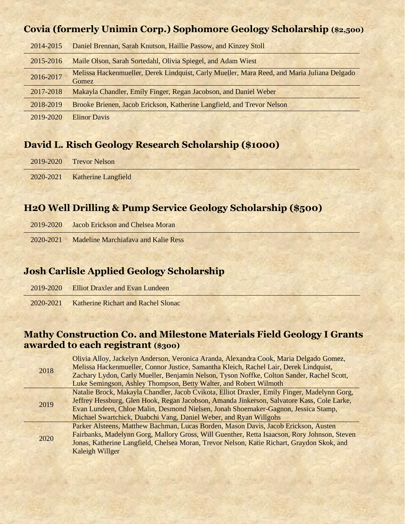#### **Covia (formerly Unimin Corp.) Sophomore Geology Scholarship (\$2,500)**

| 2014-2015 | Daniel Brennan, Sarah Knutson, Haillie Passow, and Kinzey Stoll                                      |
|-----------|------------------------------------------------------------------------------------------------------|
| 2015-2016 | Maile Olson, Sarah Sortedahl, Olivia Spiegel, and Adam Wiest                                         |
| 2016-2017 | Melissa Hackenmueller, Derek Lindquist, Carly Mueller, Mara Reed, and Maria Juliana Delgado<br>Gomez |
| 2017-2018 | Makayla Chandler, Emily Finger, Regan Jacobson, and Daniel Weber                                     |
| 2018-2019 | Brooke Brienen, Jacob Erickson, Katherine Langfield, and Trevor Nelson                               |
| 2019-2020 | <b>Elinor Davis</b>                                                                                  |

### **David L. Risch Geology Research Scholarship (\$1000)**

| 2019-2020 Trevor Nelson       |  |  |  |
|-------------------------------|--|--|--|
| 2020-2021 Katherine Langfield |  |  |  |

#### **H2O Well Drilling & Pump Service Geology Scholarship (\$500)**

| 2019-2020 Jacob Erickson and Chelsea Moran    |  |  |
|-----------------------------------------------|--|--|
| 2020-2021 Madeline Marchiafaya and Kalie Ress |  |  |

## **Josh Carlisle Applied Geology Scholarship**

| 2019-2020 Elliot Draxler and Evan Lundeen     |  |
|-----------------------------------------------|--|
| 2020-2021 Katherine Richart and Rachel Slonac |  |

#### **Mathy Construction Co. and Milestone Materials Field Geology I Grants awarded to each registrant (\$300)**

| 2018 | Olivia Alloy, Jackelyn Anderson, Veronica Aranda, Alexandra Cook, Maria Delgado Gomez,       |
|------|----------------------------------------------------------------------------------------------|
|      | Melissa Hackenmueller, Connor Justice, Samantha Kleich, Rachel Lair, Derek Lindquist,        |
|      | Zachary Lydon, Carly Mueller, Benjamin Nelson, Tyson Noffke, Colton Sander, Rachel Scott,    |
|      | Luke Semingson, Ashley Thompson, Betty Walter, and Robert Wilmoth                            |
|      | Natalie Brock, Makayla Chandler, Jacob Cvikota, Elliot Draxler, Emily Finger, Madelynn Gorg, |
| 2019 | Jeffrey Hessburg, Glen Hook, Regan Jacobson, Amanda Jinkerson, Salvatore Kass, Cole Larke,   |
|      | Evan Lundeen, Chloe Malin, Desmond Nielsen, Jonah Shoemaker-Gagnon, Jessica Stamp,           |
|      | Michael Swartchick, Duabchi Vang, Daniel Weber, and Ryan Willgohs                            |
|      | Parker Alsteens, Matthew Bachman, Lucas Borden, Mason Davis, Jacob Erickson, Austen          |
| 2020 | Fairbanks, Madelynn Gorg, Mallory Gross, Will Guenther, Retta Isaacson, Rory Johnson, Steven |
|      | Jonas, Katherine Langfield, Chelsea Moran, Trevor Nelson, Katie Richart, Graydon Skok, and   |
|      | Kaleigh Willger                                                                              |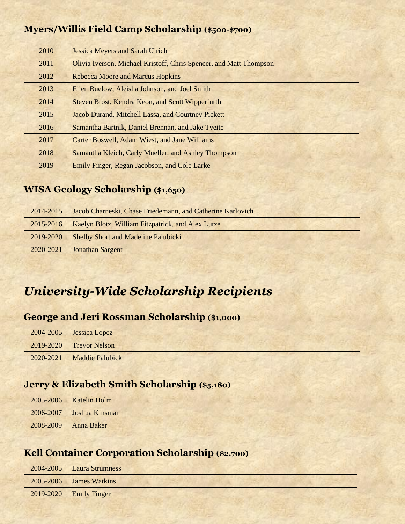### **Myers/Willis Field Camp Scholarship (\$500-\$700)**

| 2010 | <b>Jessica Meyers and Sarah Ulrich</b>                             |
|------|--------------------------------------------------------------------|
| 2011 | Olivia Iverson, Michael Kristoff, Chris Spencer, and Matt Thompson |
| 2012 | <b>Rebecca Moore and Marcus Hopkins</b>                            |
| 2013 | Ellen Buelow, Aleisha Johnson, and Joel Smith                      |
| 2014 | Steven Brost, Kendra Keon, and Scott Wipperfurth                   |
| 2015 | Jacob Durand, Mitchell Lassa, and Courtney Pickett                 |
| 2016 | Samantha Bartnik, Daniel Brennan, and Jake Tveite                  |
| 2017 | Carter Boswell, Adam Wiest, and Jane Williams                      |
| 2018 | Samantha Kleich, Carly Mueller, and Ashley Thompson                |
| 2019 | Emily Finger, Regan Jacobson, and Cole Larke                       |

#### **WISA Geology Scholarship (\$1,650)**

| 2014-2015 | Jacob Charneski, Chase Friedemann, and Catherine Karlovich |
|-----------|------------------------------------------------------------|
| 2015-2016 | Kaelyn Blotz, William Fitzpatrick, and Alex Lutze          |
| 2019-2020 | <b>Shelby Short and Madeline Palubicki</b>                 |
| 2020-2021 | <b>Jonathan Sargent</b>                                    |

# *University-Wide Scholarship Recipients*

#### **George and Jeri Rossman Scholarship (\$1,000)**

| 2004-2005 Jessica Lopez    |  |
|----------------------------|--|
| 2019-2020 Trevor Nelson    |  |
| 2020-2021 Maddie Palubicki |  |

# **Jerry & Elizabeth Smith Scholarship (\$5,180)**

|           | $2005 - 2006$ Katelin Holm |  |  |  |  |
|-----------|----------------------------|--|--|--|--|
|           | 2006-2007 Joshua Kinsman   |  |  |  |  |
| 2008-2009 | <b>Anna Baker</b>          |  |  |  |  |

## **Kell Container Corporation Scholarship (\$2,700)**

| 2004-2005 Laura Strumness  |  |  |  |  |
|----------------------------|--|--|--|--|
| 2005-2006 James Watkins    |  |  |  |  |
| $2019 - 2020$ Emily Finger |  |  |  |  |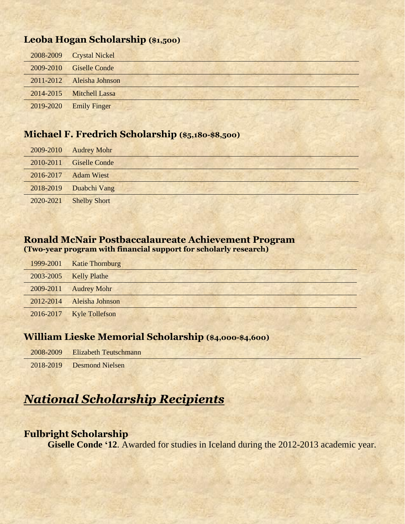#### **Leoba Hogan Scholarship (\$1,500)**

|           | 2008-2009 Crystal Nickel  |
|-----------|---------------------------|
| 2009-2010 | <b>Giselle Conde</b>      |
|           | 2011-2012 Aleisha Johnson |
| 2014-2015 | Mitchell Lassa            |
| 2019-2020 | <b>Emily Finger</b>       |

#### **Michael F. Fredrich Scholarship (\$5,180-\$8,500)**

| 2009-2010 | <b>Audrey Mohr</b>      |  |  |
|-----------|-------------------------|--|--|
|           | 2010-2011 Giselle Conde |  |  |
| 2016-2017 | <b>Adam Wiest</b>       |  |  |
|           | 2018-2019 Duabchi Vang  |  |  |
| 2020-2021 | <b>Shelby Short</b>     |  |  |

#### **Ronald McNair Postbaccalaureate Achievement Program (Two-year program with financial support for scholarly research)**

| 1999-2001 | <b>Katie Thornburg</b>   |  |
|-----------|--------------------------|--|
| 2003-2005 | <b>Kelly Plathe</b>      |  |
| 2009-2011 | <b>Audrey Mohr</b>       |  |
| 2012-2014 | Aleisha Johnson          |  |
|           | 2016-2017 Kyle Tollefson |  |

### **William Lieske Memorial Scholarship (\$4,000-\$4,600)**

| 2008-2009 Elizabeth Teutschmann |  |  |
|---------------------------------|--|--|
| 2018-2019 Desmond Nielsen       |  |  |

# *National Scholarship Recipients*

#### **Fulbright Scholarship**

**Giselle Conde '12.** Awarded for studies in Iceland during the 2012-2013 academic year.